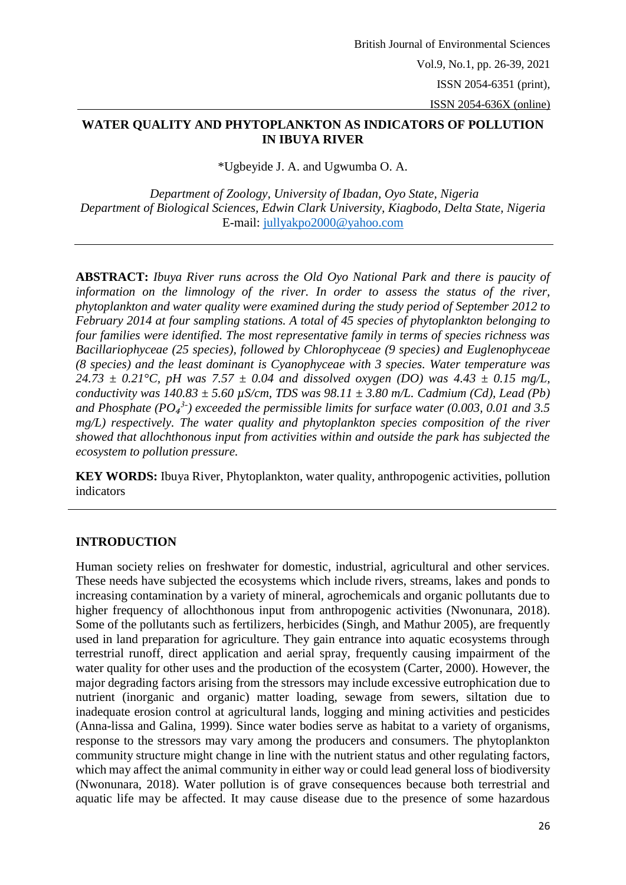# **WATER QUALITY AND PHYTOPLANKTON AS INDICATORS OF POLLUTION IN IBUYA RIVER**

\*Ugbeyide J. A. and Ugwumba O. A.

*Department of Zoology, University of Ibadan, Oyo State, Nigeria Department of Biological Sciences, Edwin Clark University, Kiagbodo, Delta State, Nigeria*  E-mail: [jullyakpo2000@yahoo.com](mailto:jullyakpo2000@yahoo.com)

**ABSTRACT:** *Ibuya River runs across the Old Oyo National Park and there is paucity of information on the limnology of the river. In order to assess the status of the river, phytoplankton and water quality were examined during the study period of September 2012 to February 2014 at four sampling stations. A total of 45 species of phytoplankton belonging to four families were identified. The most representative family in terms of species richness was Bacillariophyceae (25 species), followed by Chlorophyceae (9 species) and Euglenophyceae (8 species) and the least dominant is Cyanophyceae with 3 species. Water temperature was 24.73 ± 0.21°C, pH was 7.57 ± 0.04 and dissolved oxygen (DO) was 4.43 ± 0.15 mg/L, conductivity was 140.83 ± 5.60 µS/cm, TDS was 98.11 ± 3.80 m/L. Cadmium (Cd), Lead (Pb)*  and Phosphate (PO<sub>4</sub><sup>3-</sup>) exceeded the permissible limits for surface water (0.003, 0.01 and 3.5 *mg/L) respectively. The water quality and phytoplankton species composition of the river showed that allochthonous input from activities within and outside the park has subjected the ecosystem to pollution pressure.*

**KEY WORDS:** Ibuya River, Phytoplankton, water quality, anthropogenic activities, pollution indicators

# **INTRODUCTION**

Human society relies on freshwater for domestic, industrial, agricultural and other services. These needs have subjected the ecosystems which include rivers, streams, lakes and ponds to increasing contamination by a variety of mineral, agrochemicals and organic pollutants due to higher frequency of allochthonous input from anthropogenic activities (Nwonunara, 2018). Some of the pollutants such as fertilizers, herbicides (Singh, and Mathur 2005), are frequently used in land preparation for agriculture. They gain entrance into aquatic ecosystems through terrestrial runoff, direct application and aerial spray, frequently causing impairment of the water quality for other uses and the production of the ecosystem (Carter, 2000). However, the major degrading factors arising from the stressors may include excessive eutrophication due to nutrient (inorganic and organic) matter loading, sewage from sewers, siltation due to inadequate erosion control at agricultural lands, logging and mining activities and pesticides (Anna-lissa and Galina, 1999). Since water bodies serve as habitat to a variety of organisms, response to the stressors may vary among the producers and consumers. The phytoplankton community structure might change in line with the nutrient status and other regulating factors, which may affect the animal community in either way or could lead general loss of biodiversity (Nwonunara, 2018). Water pollution is of grave consequences because both terrestrial and aquatic life may be affected. It may cause disease due to the presence of some hazardous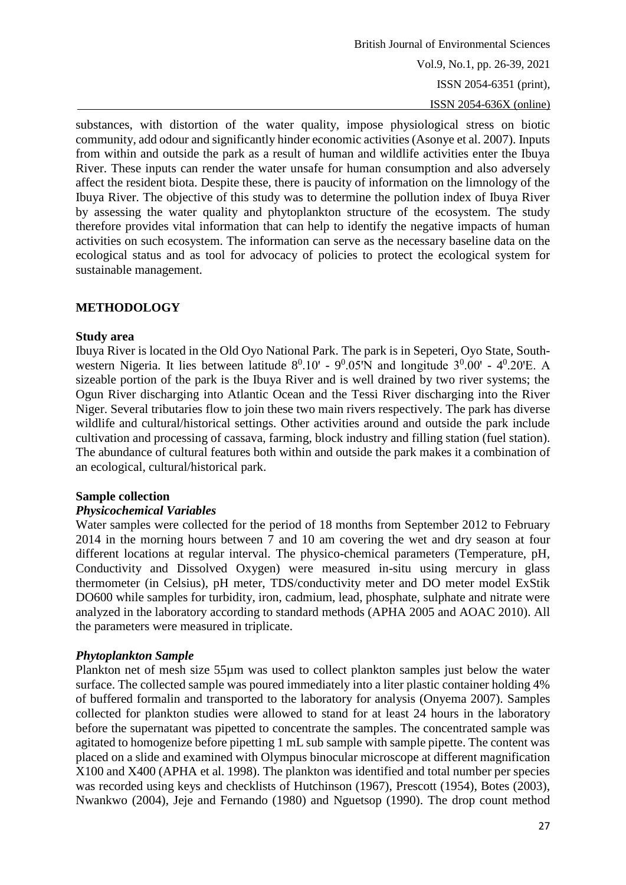substances, with distortion of the water quality, impose physiological stress on biotic community, add odour and significantly hinder economic activities (Asonye et al. 2007). Inputs from within and outside the park as a result of human and wildlife activities enter the Ibuya River. These inputs can render the water unsafe for human consumption and also adversely affect the resident biota. Despite these, there is paucity of information on the limnology of the Ibuya River. The objective of this study was to determine the pollution index of Ibuya River by assessing the water quality and phytoplankton structure of the ecosystem. The study therefore provides vital information that can help to identify the negative impacts of human activities on such ecosystem. The information can serve as the necessary baseline data on the ecological status and as tool for advocacy of policies to protect the ecological system for sustainable management.

## **METHODOLOGY**

### **Study area**

Ibuya River is located in the Old Oyo National Park. The park is in Sepeteri, Oyo State, Southwestern Nigeria. It lies between latitude  $8^0.10'$  -  $9^0.05'N$  and longitude  $3^0.00'$  -  $4^0.20'E$ . A sizeable portion of the park is the Ibuya River and is well drained by two river systems; the Ogun River discharging into Atlantic Ocean and the Tessi River discharging into the River Niger. Several tributaries flow to join these two main rivers respectively. The park has diverse wildlife and cultural/historical settings. Other activities around and outside the park include cultivation and processing of cassava, farming, block industry and filling station (fuel station). The abundance of cultural features both within and outside the park makes it a combination of an ecological, cultural/historical park.

## **Sample collection**

## *Physicochemical Variables*

Water samples were collected for the period of 18 months from September 2012 to February 2014 in the morning hours between 7 and 10 am covering the wet and dry season at four different locations at regular interval. The physico-chemical parameters (Temperature, pH, Conductivity and Dissolved Oxygen) were measured in-situ using mercury in glass thermometer (in Celsius), pH meter, TDS/conductivity meter and DO meter model ExStik DO600 while samples for turbidity, iron, cadmium, lead, phosphate, sulphate and nitrate were analyzed in the laboratory according to standard methods (APHA 2005 and AOAC 2010). All the parameters were measured in triplicate.

## *Phytoplankton Sample*

Plankton net of mesh size 55µm was used to collect plankton samples just below the water surface. The collected sample was poured immediately into a liter plastic container holding 4% of buffered formalin and transported to the laboratory for analysis (Onyema 2007). Samples collected for plankton studies were allowed to stand for at least 24 hours in the laboratory before the supernatant was pipetted to concentrate the samples. The concentrated sample was agitated to homogenize before pipetting 1 mL sub sample with sample pipette. The content was placed on a slide and examined with Olympus binocular microscope at different magnification X100 and X400 (APHA et al. 1998). The plankton was identified and total number per species was recorded using keys and checklists of Hutchinson (1967), Prescott (1954), Botes (2003), Nwankwo (2004), Jeje and Fernando (1980) and Nguetsop (1990). The drop count method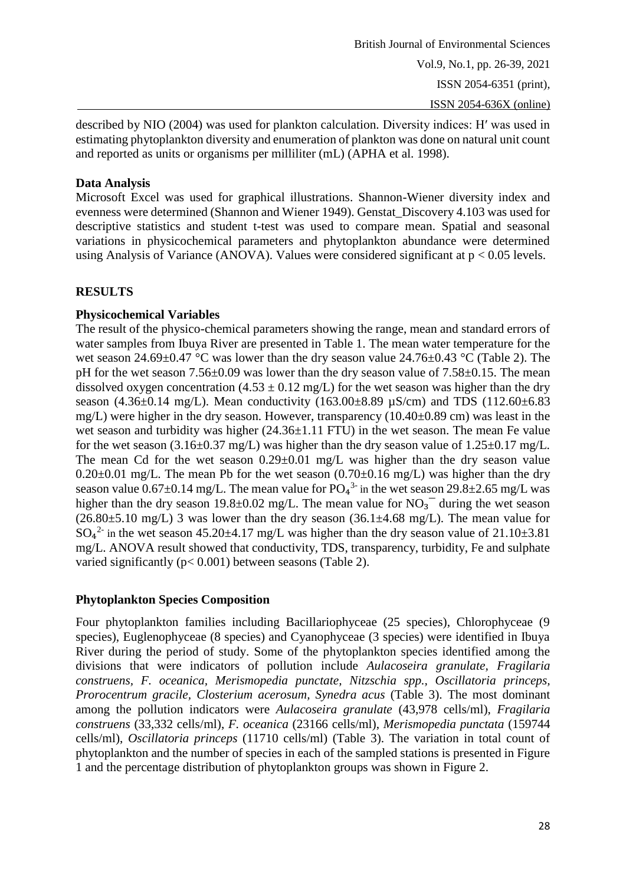described by NIO (2004) was used for plankton calculation. Diversity indices: H′ was used in estimating phytoplankton diversity and enumeration of plankton was done on natural unit count and reported as units or organisms per milliliter (mL) (APHA et al. 1998).

# **Data Analysis**

Microsoft Excel was used for graphical illustrations. Shannon-Wiener diversity index and evenness were determined (Shannon and Wiener 1949). Genstat\_Discovery 4.103 was used for descriptive statistics and student t-test was used to compare mean. Spatial and seasonal variations in physicochemical parameters and phytoplankton abundance were determined using Analysis of Variance (ANOVA). Values were considered significant at  $p < 0.05$  levels.

## **RESULTS**

## **Physicochemical Variables**

The result of the physico-chemical parameters showing the range, mean and standard errors of water samples from Ibuya River are presented in Table 1. The mean water temperature for the wet season 24.69±0.47 °C was lower than the dry season value 24.76±0.43 °C (Table 2). The pH for the wet season 7.56±0.09 was lower than the dry season value of 7.58±0.15. The mean dissolved oxygen concentration (4.53  $\pm$  0.12 mg/L) for the wet season was higher than the dry season (4.36 $\pm$ 0.14 mg/L). Mean conductivity (163.00 $\pm$ 8.89  $\mu$ S/cm) and TDS (112.60 $\pm$ 6.83 mg/L) were higher in the dry season. However, transparency (10.40±0.89 cm) was least in the wet season and turbidity was higher  $(24.36\pm1.11$  FTU) in the wet season. The mean Fe value for the wet season (3.16 $\pm$ 0.37 mg/L) was higher than the dry season value of 1.25 $\pm$ 0.17 mg/L. The mean Cd for the wet season  $0.29 \pm 0.01$  mg/L was higher than the dry season value  $0.20\pm0.01$  mg/L. The mean Pb for the wet season  $(0.70\pm0.16$  mg/L) was higher than the dry season value  $0.67 \pm 0.14$  mg/L. The mean value for PO<sub>4</sub><sup>3-</sup> in the wet season 29.8 $\pm$ 2.65 mg/L was higher than the dry season 19.8 $\pm$ 0.02 mg/L. The mean value for NO<sub>3</sub><sup> $-$ </sup> during the wet season  $(26.80\pm5.10 \text{ mg/L})$  3 was lower than the dry season  $(36.1\pm4.68 \text{ mg/L})$ . The mean value for  $SO_4^2$  in the wet season 45.20 $\pm$ 4.17 mg/L was higher than the dry season value of 21.10 $\pm$ 3.81 mg/L. ANOVA result showed that conductivity, TDS, transparency, turbidity, Fe and sulphate varied significantly (p< 0.001) between seasons (Table 2).

# **Phytoplankton Species Composition**

Four phytoplankton families including Bacillariophyceae (25 species), Chlorophyceae (9 species), Euglenophyceae (8 species) and Cyanophyceae (3 species) were identified in Ibuya River during the period of study. Some of the phytoplankton species identified among the divisions that were indicators of pollution include *Aulacoseira granulate, Fragilaria construens, F. oceanica, Merismopedia punctate, Nitzschia spp., Oscillatoria princeps, Prorocentrum gracile, Closterium acerosum, Synedra acus* (Table 3). The most dominant among the pollution indicators were *Aulacoseira granulate* (43,978 cells/ml), *Fragilaria construens* (33,332 cells/ml), *F. oceanica* (23166 cells/ml), *Merismopedia punctata* (159744 cells/ml), *Oscillatoria princeps* (11710 cells/ml) (Table 3). The variation in total count of phytoplankton and the number of species in each of the sampled stations is presented in Figure 1 and the percentage distribution of phytoplankton groups was shown in Figure 2.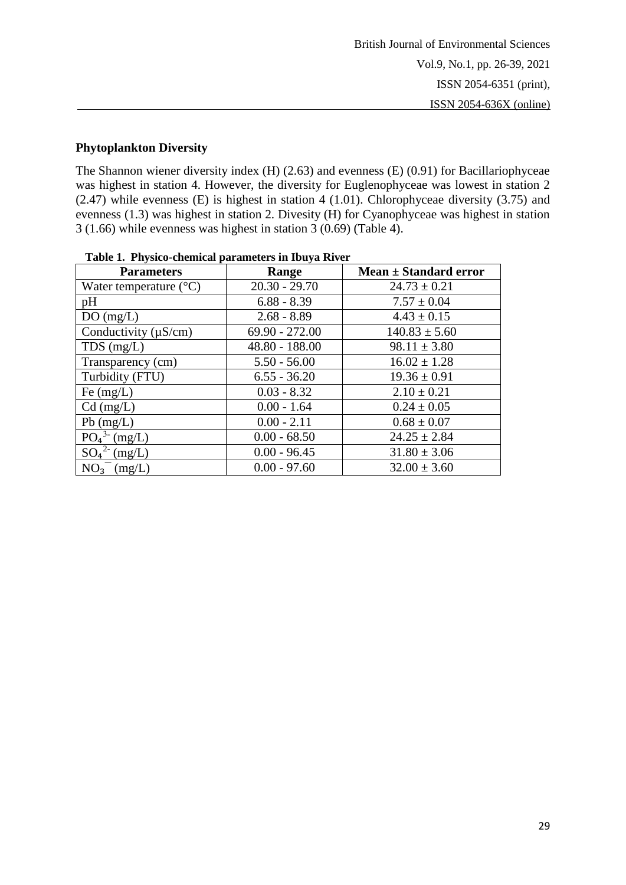# **Phytoplankton Diversity**

The Shannon wiener diversity index (H) (2.63) and evenness (E) (0.91) for Bacillariophyceae was highest in station 4. However, the diversity for Euglenophyceae was lowest in station 2 (2.47) while evenness (E) is highest in station 4 (1.01). Chlorophyceae diversity (3.75) and evenness (1.3) was highest in station 2. Divesity (H) for Cyanophyceae was highest in station 3 (1.66) while evenness was highest in station 3 (0.69) (Table 4).

| Tuble 10 1 hybred chemical parameters in 1907 a 100 ch |                  |                           |  |  |  |  |  |  |
|--------------------------------------------------------|------------------|---------------------------|--|--|--|--|--|--|
| <b>Parameters</b>                                      | Range            | Mean $\pm$ Standard error |  |  |  |  |  |  |
| Water temperature $(^{\circ}C)$                        | $20.30 - 29.70$  | $24.73 \pm 0.21$          |  |  |  |  |  |  |
| pH                                                     | $6.88 - 8.39$    | $7.57 \pm 0.04$           |  |  |  |  |  |  |
| DO(mg/L)                                               | $2.68 - 8.89$    | $4.43 \pm 0.15$           |  |  |  |  |  |  |
| Conductivity $(\mu S/cm)$                              | $69.90 - 272.00$ | $140.83 \pm 5.60$         |  |  |  |  |  |  |
| $TDS$ (mg/L)                                           | 48.80 - 188.00   | $98.11 \pm 3.80$          |  |  |  |  |  |  |
| Transparency (cm)                                      | $5.50 - 56.00$   | $16.02 \pm 1.28$          |  |  |  |  |  |  |
| Turbidity (FTU)                                        | $6.55 - 36.20$   | $19.36 \pm 0.91$          |  |  |  |  |  |  |
| Fe $(mg/L)$                                            | $0.03 - 8.32$    | $2.10 \pm 0.21$           |  |  |  |  |  |  |
| $Cd$ (mg/L)                                            | $0.00 - 1.64$    | $0.24 \pm 0.05$           |  |  |  |  |  |  |
| $Pb$ (mg/L)                                            | $0.00 - 2.11$    | $0.68 \pm 0.07$           |  |  |  |  |  |  |
| $PO_4^{3}$ (mg/L)                                      | $0.00 - 68.50$   | $24.25 \pm 2.84$          |  |  |  |  |  |  |
| $SO_4^2$ (mg/L)                                        | $0.00 - 96.45$   | $31.80 \pm 3.06$          |  |  |  |  |  |  |
| $NO3- (mg/L)$                                          | $0.00 - 97.60$   | $32.00 \pm 3.60$          |  |  |  |  |  |  |

**Table 1. Physico-chemical parameters in Ibuya River**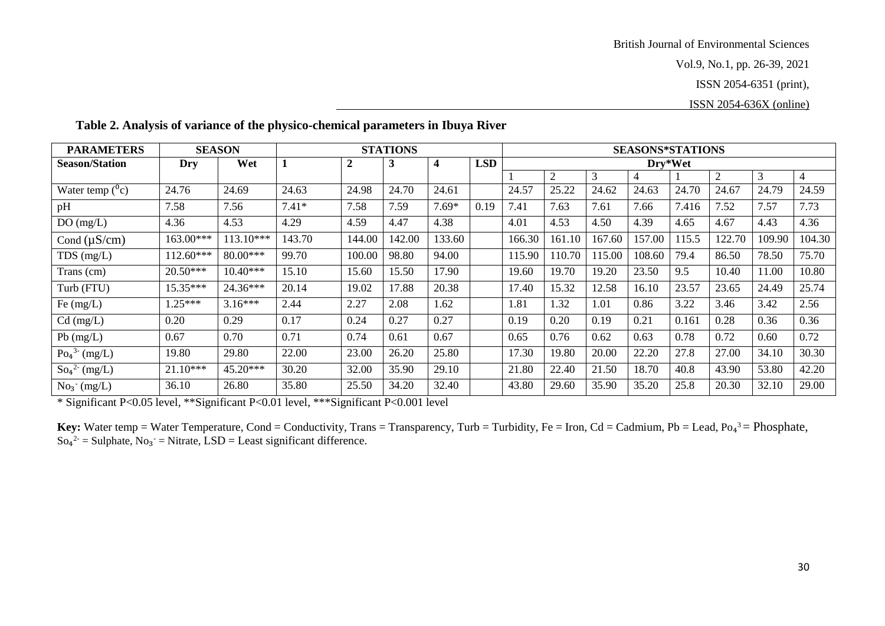Vol.9, No.1, pp. 26-39, 2021

ISSN 2054-6351 (print),

ISSN 2054-636X (online)

| <b>PARAMETERS</b>                   |           | <b>SEASON</b> | <b>STATIONS</b> |                  |        | <b>SEASONS*STATIONS</b> |            |         |        |        |                |       |        |        |                |
|-------------------------------------|-----------|---------------|-----------------|------------------|--------|-------------------------|------------|---------|--------|--------|----------------|-------|--------|--------|----------------|
| <b>Season/Station</b>               | Dry       | Wet           |                 | $\boldsymbol{2}$ | 3      | 4                       | <b>LSD</b> | Dry*Wet |        |        |                |       |        |        |                |
|                                     |           |               |                 |                  |        |                         |            |         | 2      | 3      | $\overline{4}$ |       | 2      | 3      | $\overline{4}$ |
| Water temp $(^0c)$                  | 24.76     | 24.69         | 24.63           | 24.98            | 24.70  | 24.61                   |            | 24.57   | 25.22  | 24.62  | 24.63          | 24.70 | 24.67  | 24.79  | 24.59          |
| pH                                  | 7.58      | 7.56          | $7.41*$         | 7.58             | 7.59   | $7.69*$                 | 0.19       | 7.41    | 7.63   | 7.61   | 7.66           | 7.416 | 7.52   | 7.57   | 7.73           |
| DO(mg/L)                            | 4.36      | 4.53          | 4.29            | 4.59             | 4.47   | 4.38                    |            | 4.01    | 4.53   | 4.50   | 4.39           | 4.65  | 4.67   | 4.43   | 4.36           |
| Cond $(\mu S/cm)$                   | 163.00*** | $13.10***$    | 143.70          | 144.00           | 142.00 | 133.60                  |            | 166.30  | 161.10 | 167.60 | 157.00         | 115.5 | 122.70 | 109.90 | 104.30         |
| $TDS$ (mg/L)                        | 112.60*** | 80.00***      | 99.70           | 100.00           | 98.80  | 94.00                   |            | 115.90  | 110.70 | 115.00 | 108.60         | 79.4  | 86.50  | 78.50  | 75.70          |
| Trans (cm)                          | 20.50***  | $10.40***$    | 15.10           | 15.60            | 15.50  | 17.90                   |            | 19.60   | 19.70  | 19.20  | 23.50          | 9.5   | 10.40  | 11.00  | 10.80          |
| Turb (FTU)                          | 15.35***  | 24.36***      | 20.14           | 19.02            | 17.88  | 20.38                   |            | 17.40   | 15.32  | 12.58  | 16.10          | 23.57 | 23.65  | 24.49  | 25.74          |
| Fe $(mg/L)$                         | $1.25***$ | $3.16***$     | 2.44            | 2.27             | 2.08   | 1.62                    |            | 1.81    | 1.32   | 1.01   | 0.86           | 3.22  | 3.46   | 3.42   | 2.56           |
| $Cd$ (mg/L)                         | 0.20      | 0.29          | 0.17            | 0.24             | 0.27   | 0.27                    |            | 0.19    | 0.20   | 0.19   | 0.21           | 0.161 | 0.28   | 0.36   | 0.36           |
| $Pb$ (mg/L)                         | 0.67      | 0.70          | 0.71            | 0.74             | 0.61   | 0.67                    |            | 0.65    | 0.76   | 0.62   | 0.63           | 0.78  | 0.72   | 0.60   | 0.72           |
| $Po_4^3$ (mg/L)                     | 19.80     | 29.80         | 22.00           | 23.00            | 26.20  | 25.80                   |            | 17.30   | 19.80  | 20.00  | 22.20          | 27.8  | 27.00  | 34.10  | 30.30          |
| $\text{So}_{4}^{2} \text{- (mg/L)}$ | 21.10***  | 45.20***      | 30.20           | 32.00            | 35.90  | 29.10                   |            | 21.80   | 22.40  | 21.50  | 18.70          | 40.8  | 43.90  | 53.80  | 42.20          |
| $No_3$ (mg/L)                       | 36.10     | 26.80         | 35.80           | 25.50            | 34.20  | 32.40                   |            | 43.80   | 29.60  | 35.90  | 35.20          | 25.8  | 20.30  | 32.10  | 29.00          |

**Table 2. Analysis of variance of the physico-chemical parameters in Ibuya River** 

\* Significant P<0.05 level, \*\*Significant P<0.01 level, \*\*\*Significant P<0.001 level

Key: Water temp = Water Temperature, Cond = Conductivity, Trans = Transparency, Turb = Turbidity, Fe = Iron, Cd = Cadmium, Pb = Lead, Po<sub>4</sub><sup>3</sup> = Phosphate,  $\text{So}_4^2 = \text{Sulphate}, \text{No}_3 = \text{Nitrate}, \text{LSD} = \text{Least significant difference}.$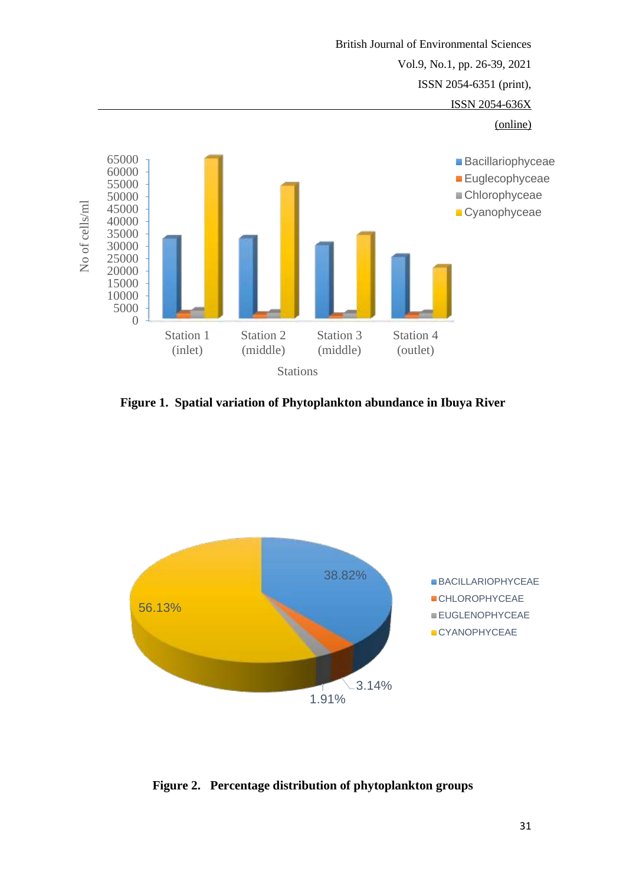

**Figure 1. Spatial variation of Phytoplankton abundance in Ibuya River**



**Figure 2. Percentage distribution of phytoplankton groups**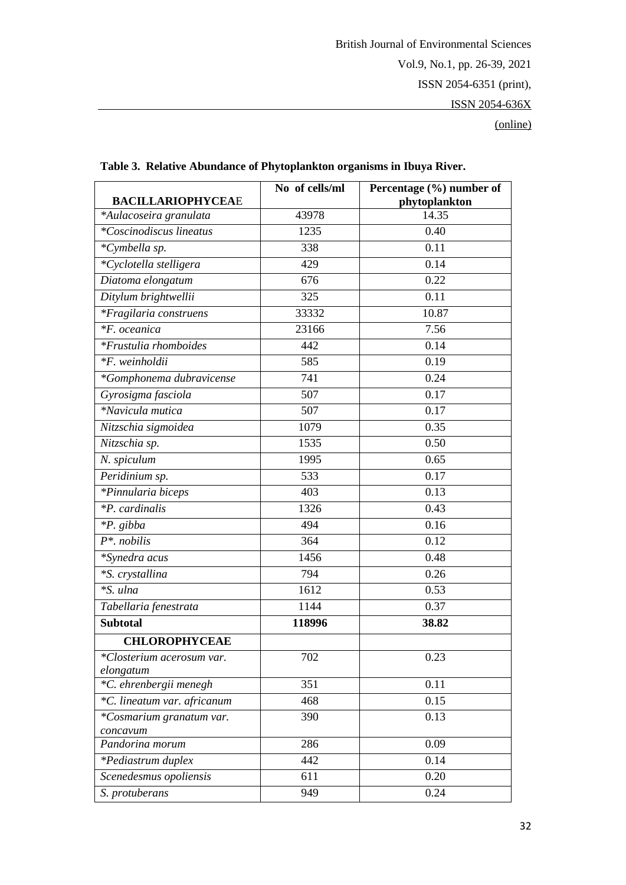|                              | No of cells/ml | Percentage (%) number of |
|------------------------------|----------------|--------------------------|
| <b>BACILLARIOPHYCEAE</b>     |                | phytoplankton            |
| *Aulacoseira granulata       | 43978          | 14.35                    |
| $*Co$ scinodiscus lineatus   | 1235           | 0.40                     |
| *Cymbella sp.                | 338            | 0.11                     |
| *Cyclotella stelligera       | 429            | 0.14                     |
| Diatoma elongatum            | 676            | 0.22                     |
| Ditylum brightwellii         | 325            | 0.11                     |
| *Fragilaria construens       | 33332          | 10.87                    |
| *F. oceanica                 | 23166          | 7.56                     |
| <i>*Frustulia rhomboides</i> | 442            | 0.14                     |
| *F. weinholdii               | 585            | 0.19                     |
| *Gomphonema dubravicense     | 741            | 0.24                     |
| Gyrosigma fasciola           | 507            | 0.17                     |
| *Navicula mutica             | 507            | 0.17                     |
| Nitzschia sigmoidea          | 1079           | 0.35                     |
| Nitzschia sp.                | 1535           | 0.50                     |
| N. spiculum                  | 1995           | 0.65                     |
| Peridinium sp.               | 533            | 0.17                     |
| *Pinnularia biceps           | 403            | 0.13                     |
| *P. cardinalis               | 1326           | 0.43                     |
| <i>*P.</i> gibba             | 494            | 0.16                     |
| $P^*$ . nobilis              | 364            | 0.12                     |
| *Synedra acus                | 1456           | 0.48                     |
| *S. crystallina              | 794            | 0.26                     |
| *S. ulna                     | 1612           | 0.53                     |
| Tabellaria fenestrata        | 1144           | 0.37                     |
| <b>Subtotal</b>              | 118996         | 38.82                    |
| <b>CHLOROPHYCEAE</b>         |                |                          |
| *Closterium acerosum var.    | 702            | 0.23                     |
| elongatum                    |                |                          |
| *C. ehrenbergii menegh       | 351            | 0.11                     |
| *C. lineatum var. africanum  | 468            | 0.15                     |
| *Cosmarium granatum var.     | 390            | 0.13                     |
| concavum                     | 286            | 0.09                     |
| Pandorina morum              |                |                          |
| *Pediastrum duplex           | 442            | 0.14                     |
| Scenedesmus opoliensis       | 611            | 0.20                     |
| S. protuberans               | 949            | 0.24                     |

 **Table 3. Relative Abundance of Phytoplankton organisms in Ibuya River.**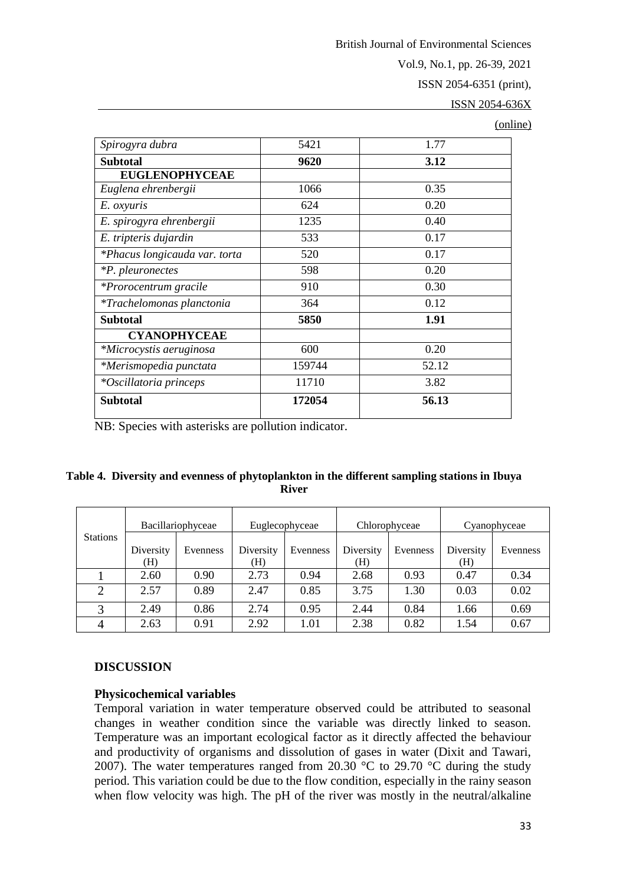British Journal of Environmental Sciences

Vol.9, No.1, pp. 26-39, 2021

ISSN 2054-6351 (print),

ISSN 2054-636X

(online)

| Spirogyra dubra                  | 5421   | 1.77  |
|----------------------------------|--------|-------|
| <b>Subtotal</b>                  | 9620   | 3.12  |
| <b>EUGLENOPHYCEAE</b>            |        |       |
| Euglena ehrenbergii              | 1066   | 0.35  |
| E. oxyuris                       | 624    | 0.20  |
| E. spirogyra ehrenbergii         | 1235   | 0.40  |
| E. tripteris dujardin            | 533    | 0.17  |
| *Phacus longicauda var. torta    | 520    | 0.17  |
| <i>*P. pleuronectes</i>          | 598    | 0.20  |
| *Prorocentrum gracile            | 910    | 0.30  |
| <i>*Trachelomonas planctonia</i> | 364    | 0.12  |
| <b>Subtotal</b>                  | 5850   | 1.91  |
| <b>CYANOPHYCEAE</b>              |        |       |
| *Microcystis aeruginosa          | 600    | 0.20  |
| *Merismopedia punctata           | 159744 | 52.12 |
| <i>*Oscillatoria princeps</i>    | 11710  | 3.82  |
| <b>Subtotal</b>                  | 172054 | 56.13 |

NB: Species with asterisks are pollution indicator.

### **Table 4. Diversity and evenness of phytoplankton in the different sampling stations in Ibuya River**

|                 | Bacillariophyceae |          | Euglecophyceae   |          | Chlorophyceae    |          | Cyanophyceae     |          |  |
|-----------------|-------------------|----------|------------------|----------|------------------|----------|------------------|----------|--|
| <b>Stations</b> | Diversity<br>H)   | Evenness | Diversity<br>(H) | Evenness | Diversity<br>(H) | Evenness | Diversity<br>(H) | Evenness |  |
|                 | 2.60              | 0.90     | 2.73             | 0.94     | 2.68             | 0.93     | 0.47             | 0.34     |  |
|                 | 2.57              | 0.89     | 2.47             | 0.85     | 3.75             | 1.30     | 0.03             | 0.02     |  |
|                 | 2.49              | 0.86     | 2.74             | 0.95     | 2.44             | 0.84     | 1.66             | 0.69     |  |
| $\overline{4}$  | 2.63              | 0.91     | 2.92             | 1.01     | 2.38             | 0.82     | 1.54             | 0.67     |  |

## **DISCUSSION**

## **Physicochemical variables**

Temporal variation in water temperature observed could be attributed to seasonal changes in weather condition since the variable was directly linked to season. Temperature was an important ecological factor as it directly affected the behaviour and productivity of organisms and dissolution of gases in water (Dixit and Tawari, 2007). The water temperatures ranged from 20.30  $^{\circ}$ C to 29.70  $^{\circ}$ C during the study period. This variation could be due to the flow condition, especially in the rainy season when flow velocity was high. The pH of the river was mostly in the neutral/alkaline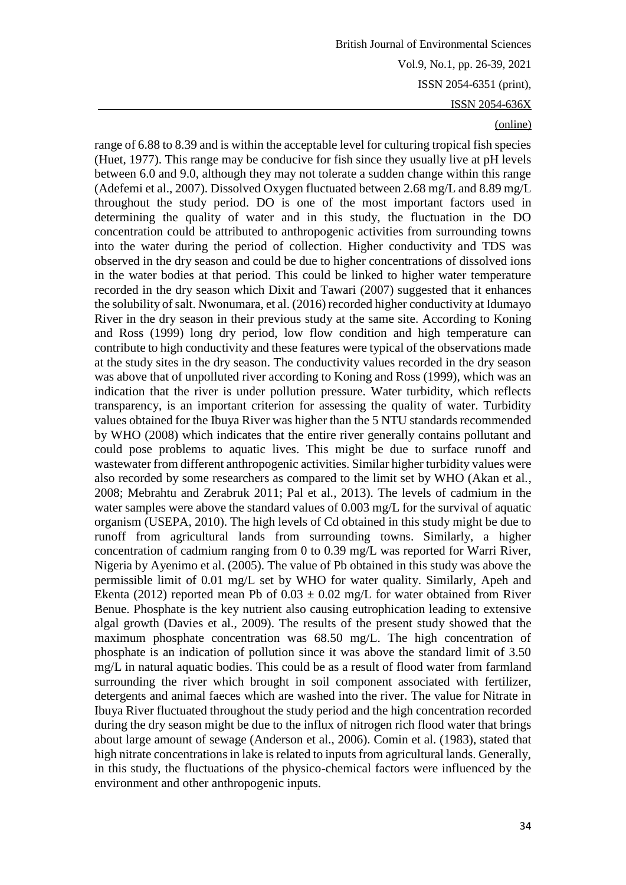#### (online)

range of 6.88 to 8.39 and is within the acceptable level for culturing tropical fish species (Huet, 1977). This range may be conducive for fish since they usually live at pH levels between 6.0 and 9.0, although they may not tolerate a sudden change within this range (Adefemi et al., 2007). Dissolved Oxygen fluctuated between 2.68 mg/L and 8.89 mg/L throughout the study period. DO is one of the most important factors used in determining the quality of water and in this study, the fluctuation in the DO concentration could be attributed to anthropogenic activities from surrounding towns into the water during the period of collection. Higher conductivity and TDS was observed in the dry season and could be due to higher concentrations of dissolved ions in the water bodies at that period. This could be linked to higher water temperature recorded in the dry season which Dixit and Tawari (2007) suggested that it enhances the solubility of salt. Nwonumara, et al. (2016) recorded higher conductivity at Idumayo River in the dry season in their previous study at the same site. According to Koning and Ross (1999) long dry period, low flow condition and high temperature can contribute to high conductivity and these features were typical of the observations made at the study sites in the dry season. The conductivity values recorded in the dry season was above that of unpolluted river according to Koning and Ross (1999), which was an indication that the river is under pollution pressure. Water turbidity, which reflects transparency, is an important criterion for assessing the quality of water. Turbidity values obtained for the Ibuya River was higher than the 5 NTU standards recommended by WHO (2008) which indicates that the entire river generally contains pollutant and could pose problems to aquatic lives. This might be due to surface runoff and wastewater from different anthropogenic activities. Similar higher turbidity values were also recorded by some researchers as compared to the limit set by WHO (Akan et al., 2008; Mebrahtu and Zerabruk 2011; Pal et al., 2013). The levels of cadmium in the water samples were above the standard values of 0.003 mg/L for the survival of aquatic organism (USEPA, 2010). The high levels of Cd obtained in this study might be due to runoff from agricultural lands from surrounding towns. Similarly, a higher concentration of cadmium ranging from 0 to 0.39 mg/L was reported for Warri River, Nigeria by Ayenimo et al. (2005). The value of Pb obtained in this study was above the permissible limit of 0.01 mg/L set by WHO for water quality. Similarly, Apeh and Ekenta (2012) reported mean Pb of  $0.03 \pm 0.02$  mg/L for water obtained from River Benue. Phosphate is the key nutrient also causing eutrophication leading to extensive algal growth (Davies et al., 2009). The results of the present study showed that the maximum phosphate concentration was 68.50 mg/L. The high concentration of phosphate is an indication of pollution since it was above the standard limit of 3.50 mg/L in natural aquatic bodies. This could be as a result of flood water from farmland surrounding the river which brought in soil component associated with fertilizer, detergents and animal faeces which are washed into the river. The value for Nitrate in Ibuya River fluctuated throughout the study period and the high concentration recorded during the dry season might be due to the influx of nitrogen rich flood water that brings about large amount of sewage (Anderson et al., 2006). Comin et al. (1983), stated that high nitrate concentrations in lake is related to inputs from agricultural lands. Generally, in this study, the fluctuations of the physico-chemical factors were influenced by the environment and other anthropogenic inputs.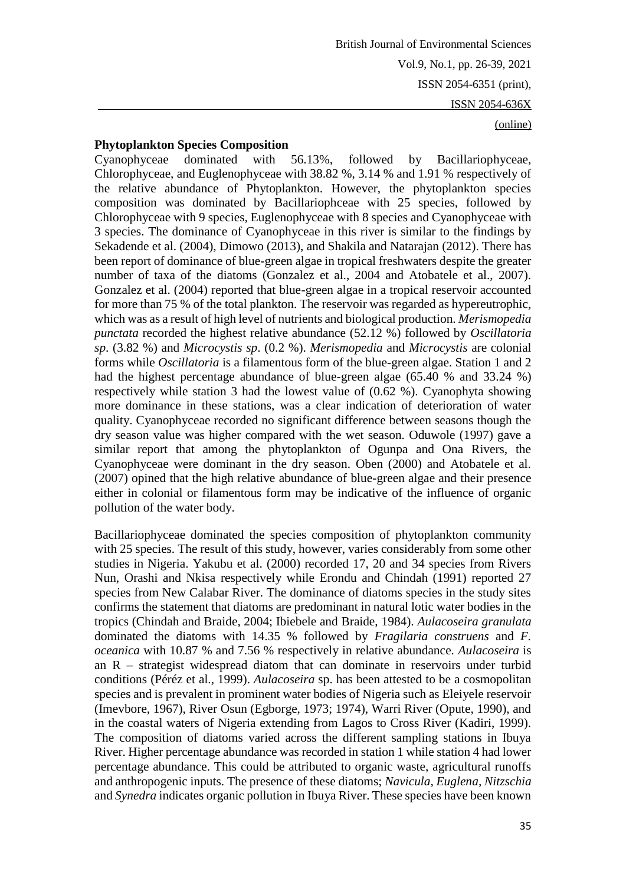# (online)

### **Phytoplankton Species Composition**

Cyanophyceae dominated with 56.13%, followed by Bacillariophyceae, Chlorophyceae, and Euglenophyceae with 38.82 %, 3.14 % and 1.91 % respectively of the relative abundance of Phytoplankton. However, the phytoplankton species composition was dominated by Bacillariophceae with 25 species, followed by Chlorophyceae with 9 species, Euglenophyceae with 8 species and Cyanophyceae with 3 species. The dominance of Cyanophyceae in this river is similar to the findings by Sekadende et al. (2004), Dimowo (2013), and Shakila and Natarajan (2012). There has been report of dominance of blue-green algae in tropical freshwaters despite the greater number of taxa of the diatoms (Gonzalez et al., 2004 and Atobatele et al., 2007). Gonzalez et al. (2004) reported that blue-green algae in a tropical reservoir accounted for more than 75 % of the total plankton. The reservoir was regarded as hypereutrophic, which was as a result of high level of nutrients and biological production. *Merismopedia punctata* recorded the highest relative abundance (52.12 %) followed by *Oscillatoria sp*. (3.82 %) and *Microcystis sp*. (0.2 %). *Merismopedia* and *Microcystis* are colonial forms while *Oscillatoria* is a filamentous form of the blue-green algae. Station 1 and 2 had the highest percentage abundance of blue-green algae (65.40 % and 33.24 %) respectively while station 3 had the lowest value of (0.62 %). Cyanophyta showing more dominance in these stations, was a clear indication of deterioration of water quality. Cyanophyceae recorded no significant difference between seasons though the dry season value was higher compared with the wet season. Oduwole (1997) gave a similar report that among the phytoplankton of Ogunpa and Ona Rivers, the Cyanophyceae were dominant in the dry season. Oben (2000) and Atobatele et al. (2007) opined that the high relative abundance of blue-green algae and their presence either in colonial or filamentous form may be indicative of the influence of organic pollution of the water body.

Bacillariophyceae dominated the species composition of phytoplankton community with 25 species. The result of this study, however, varies considerably from some other studies in Nigeria. Yakubu et al. (2000) recorded 17, 20 and 34 species from Rivers Nun, Orashi and Nkisa respectively while Erondu and Chindah (1991) reported 27 species from New Calabar River. The dominance of diatoms species in the study sites confirms the statement that diatoms are predominant in natural lotic water bodies in the tropics (Chindah and Braide, 2004; Ibiebele and Braide, 1984). *Aulacoseira granulata* dominated the diatoms with 14.35 % followed by *Fragilaria construens* and *F. oceanica* with 10.87 % and 7.56 % respectively in relative abundance. *Aulacoseira* is an R – strategist widespread diatom that can dominate in reservoirs under turbid conditions (Péréz et al., 1999). *Aulacoseira* sp. has been attested to be a cosmopolitan species and is prevalent in prominent water bodies of Nigeria such as Eleiyele reservoir (Imevbore, 1967), River Osun (Egborge, 1973; 1974), Warri River (Opute, 1990), and in the coastal waters of Nigeria extending from Lagos to Cross River (Kadiri, 1999). The composition of diatoms varied across the different sampling stations in Ibuya River. Higher percentage abundance was recorded in station 1 while station 4 had lower percentage abundance. This could be attributed to organic waste, agricultural runoffs and anthropogenic inputs. The presence of these diatoms; *Navicula, Euglena, Nitzschia* and *Synedra* indicates organic pollution in Ibuya River. These species have been known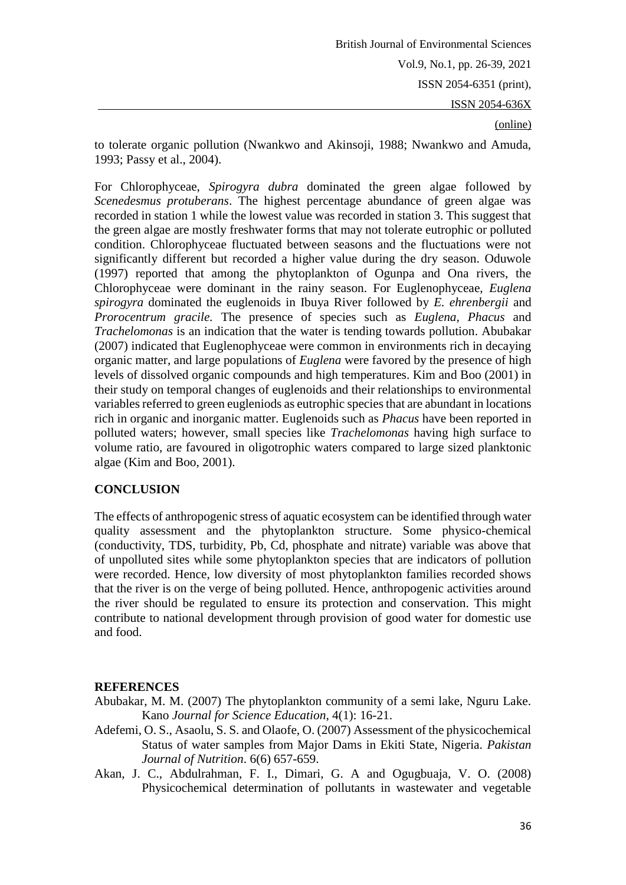### (online)

to tolerate organic pollution (Nwankwo and Akinsoji, 1988; Nwankwo and Amuda, 1993; Passy et al., 2004).

For Chlorophyceae, *Spirogyra dubra* dominated the green algae followed by *Scenedesmus protuberans*. The highest percentage abundance of green algae was recorded in station 1 while the lowest value was recorded in station 3. This suggest that the green algae are mostly freshwater forms that may not tolerate eutrophic or polluted condition. Chlorophyceae fluctuated between seasons and the fluctuations were not significantly different but recorded a higher value during the dry season. Oduwole (1997) reported that among the phytoplankton of Ogunpa and Ona rivers, the Chlorophyceae were dominant in the rainy season. For Euglenophyceae, *Euglena spirogyra* dominated the euglenoids in Ibuya River followed by *E. ehrenbergii* and *Prorocentrum gracile.* The presence of species such as *Euglena, Phacus* and *Trachelomonas* is an indication that the water is tending towards pollution. Abubakar (2007) indicated that Euglenophyceae were common in environments rich in decaying organic matter, and large populations of *Euglena* were favored by the presence of high levels of dissolved organic compounds and high temperatures. Kim and Boo (2001) in their study on temporal changes of euglenoids and their relationships to environmental variables referred to green eugleniods as eutrophic species that are abundant in locations rich in organic and inorganic matter. Euglenoids such as *Phacus* have been reported in polluted waters; however, small species like *Trachelomonas* having high surface to volume ratio, are favoured in oligotrophic waters compared to large sized planktonic algae (Kim and Boo, 2001).

## **CONCLUSION**

The effects of anthropogenic stress of aquatic ecosystem can be identified through water quality assessment and the phytoplankton structure. Some physico-chemical (conductivity, TDS, turbidity, Pb, Cd, phosphate and nitrate) variable was above that of unpolluted sites while some phytoplankton species that are indicators of pollution were recorded. Hence, low diversity of most phytoplankton families recorded shows that the river is on the verge of being polluted. Hence, anthropogenic activities around the river should be regulated to ensure its protection and conservation. This might contribute to national development through provision of good water for domestic use and food.

# **REFERENCES**

- Abubakar, M. M. (2007) The phytoplankton community of a semi lake, Nguru Lake. Kano *Journal for Science Education*, 4(1): 16-21.
- Adefemi, O. S., Asaolu, S. S. and Olaofe, O. (2007) Assessment of the physicochemical Status of water samples from Major Dams in Ekiti State, Nigeria. *Pakistan Journal of Nutrition*. 6(6) 657-659.
- Akan, J. C., Abdulrahman, F. I., Dimari, G. A and Ogugbuaja, V. O. (2008) Physicochemical determination of pollutants in wastewater and vegetable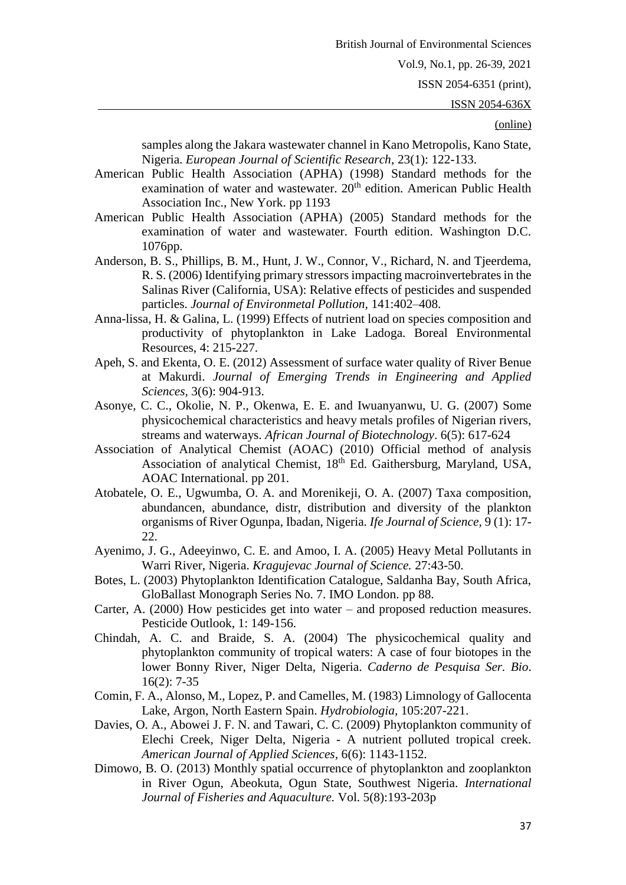ISSN 2054-6351 (print),

ISSN 2054-636X

#### (online)

samples along the Jakara wastewater channel in Kano Metropolis, Kano State, Nigeria. *European Journal of Scientific Research*, 23(1): 122-133.

- American Public Health Association (APHA) (1998) Standard methods for the examination of water and wastewater. 20<sup>th</sup> edition. American Public Health Association Inc., New York. pp 1193
- American Public Health Association (APHA) (2005) Standard methods for the examination of water and wastewater. Fourth edition. Washington D.C. 1076pp.
- Anderson, B. S., Phillips, B. M., Hunt, J. W., Connor, V., Richard, N. and Tjeerdema, R. S. (2006) Identifying primary stressors impacting macroinvertebrates in the Salinas River (California, USA): Relative effects of pesticides and suspended particles. *Journal of Environmetal Pollution,* 141:402–408.
- Anna-lissa, H. & Galina, L. (1999) Effects of nutrient load on species composition and productivity of phytoplankton in Lake Ladoga. Boreal Environmental Resources, 4: 215-227.
- Apeh, S. and Ekenta, O. E. (2012) Assessment of surface water quality of River Benue at Makurdi. *Journal of Emerging Trends in Engineering and Applied Sciences,* 3(6): 904-913.
- Asonye, C. C., Okolie, N. P., Okenwa, E. E. and Iwuanyanwu, U. G. (2007) Some physicochemical characteristics and heavy metals profiles of Nigerian rivers, streams and waterways. *African Journal of Biotechnology*. 6(5): 617-624
- Association of Analytical Chemist (AOAC) (2010) Official method of analysis Association of analytical Chemist, 18<sup>th</sup> Ed. Gaithersburg, Maryland, USA, AOAC International. pp 201.
- Atobatele, O. E., Ugwumba, O. A. and Morenikeji, O. A. (2007) Taxa composition, abundancen, abundance, distr, distribution and diversity of the plankton organisms of River Ogunpa, Ibadan, Nigeria. *Ife Journal of Science,* 9 (1): 17- 22.
- Ayenimo, J. G., Adeeyinwo, C. E. and Amoo, I. A. (2005) Heavy Metal Pollutants in Warri River, Nigeria. *Kragujevac Journal of Science.* 27:43-50.
- Botes, L. (2003) Phytoplankton Identification Catalogue, Saldanha Bay, South Africa, GloBallast Monograph Series No. 7. IMO London. pp 88.
- Carter, A. (2000) How pesticides get into water and proposed reduction measures. Pesticide Outlook, 1: 149-156.
- Chindah, A. C. and Braide, S. A. (2004) The physicochemical quality and phytoplankton community of tropical waters: A case of four biotopes in the lower Bonny River, Niger Delta, Nigeria. *Caderno de Pesquisa Ser. Bio*. 16(2): 7-35
- Comin, F. A., Alonso, M., Lopez, P. and Camelles, M. (1983) Limnology of Gallocenta Lake, Argon, North Eastern Spain. *Hydrobiologia,* 105:207-221.
- Davies, O. A., Abowei J. F. N. and Tawari, C. C. (2009) Phytoplankton community of Elechi Creek, Niger Delta, Nigeria - A nutrient polluted tropical creek. *American Journal of Applied Sciences,* 6(6): 1143-1152.
- Dimowo, B. O. (2013) Monthly spatial occurrence of phytoplankton and zooplankton in River Ogun, Abeokuta, Ogun State, Southwest Nigeria. *International Journal of Fisheries and Aquaculture.* Vol. 5(8):193-203p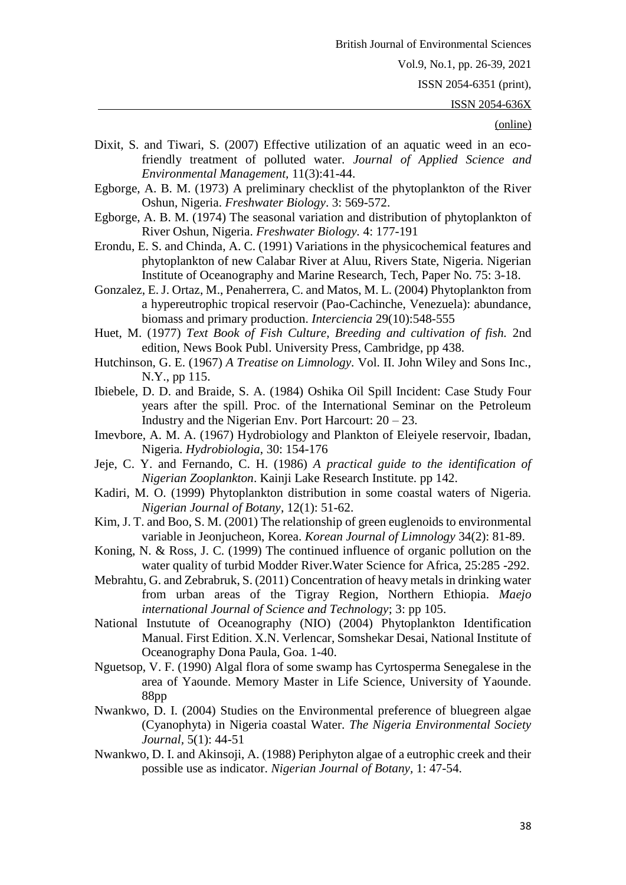ISSN 2054-6351 (print),

ISSN 2054-636X

- Dixit, S. and Tiwari, S. (2007) Effective utilization of an aquatic weed in an ecofriendly treatment of polluted water. *Journal of Applied Science and Environmental Management,* 11(3):41-44.
- Egborge, A. B. M. (1973) A preliminary checklist of the phytoplankton of the River Oshun, Nigeria. *Freshwater Biology*. 3: 569-572.
- Egborge, A. B. M. (1974) The seasonal variation and distribution of phytoplankton of River Oshun, Nigeria. *Freshwater Biology.* 4: 177-191
- Erondu, E. S. and Chinda, A. C. (1991) Variations in the physicochemical features and phytoplankton of new Calabar River at Aluu, Rivers State, Nigeria. Nigerian Institute of Oceanography and Marine Research, Tech, Paper No. 75: 3-18.
- Gonzalez, E. J. Ortaz, M., Penaherrera, C. and Matos, M. L. (2004) Phytoplankton from a hypereutrophic tropical reservoir (Pao-Cachinche, Venezuela): abundance, biomass and primary production. *Interciencia* 29(10):548-555
- Huet, M. (1977) *Text Book of Fish Culture, Breeding and cultivation of fish.* 2nd edition, News Book Publ. University Press, Cambridge, pp 438.
- Hutchinson, G. E. (1967) *A Treatise on Limnology.* Vol. II. John Wiley and Sons Inc., N.Y., pp 115.
- Ibiebele, D. D. and Braide, S. A. (1984) Oshika Oil Spill Incident: Case Study Four years after the spill. Proc. of the International Seminar on the Petroleum Industry and the Nigerian Env. Port Harcourt:  $20 - 23$ .
- Imevbore, A. M. A. (1967) Hydrobiology and Plankton of Eleiyele reservoir, Ibadan, Nigeria. *Hydrobiologia*, 30: 154-176
- Jeje, C. Y. and Fernando, C. H. (1986) *A practical guide to the identification of Nigerian Zooplankton*. Kainji Lake Research Institute. pp 142.
- Kadiri, M. O. (1999) Phytoplankton distribution in some coastal waters of Nigeria. *Nigerian Journal of Botany*, 12(1): 51-62.
- Kim, J. T. and Boo, S. M. (2001) The relationship of green euglenoids to environmental variable in Jeonjucheon, Korea. *Korean Journal of Limnology* 34(2): 81-89.
- Koning, N. & Ross, J. C. (1999) The continued influence of organic pollution on the water quality of turbid Modder River.Water Science for Africa, 25:285 -292.
- Mebrahtu, G. and Zebrabruk, S. (2011) Concentration of heavy metals in drinking water from urban areas of the Tigray Region, Northern Ethiopia. *Maejo international Journal of Science and Technology*; 3: pp 105.
- National Instutute of Oceanography (NIO) (2004) Phytoplankton Identification Manual. First Edition. X.N. Verlencar, Somshekar Desai, National Institute of Oceanography Dona Paula, Goa. 1-40.
- Nguetsop, V. F. (1990) Algal flora of some swamp has Cyrtosperma Senegalese in the area of Yaounde. Memory Master in Life Science, University of Yaounde. 88pp
- Nwankwo, D. I. (2004) Studies on the Environmental preference of bluegreen algae (Cyanophyta) in Nigeria coastal Water. *The Nigeria Environmental Society Journal,* 5(1): 44-51
- Nwankwo, D. I. and Akinsoji, A. (1988) Periphyton algae of a eutrophic creek and their possible use as indicator. *Nigerian Journal of Botany,* 1: 47-54.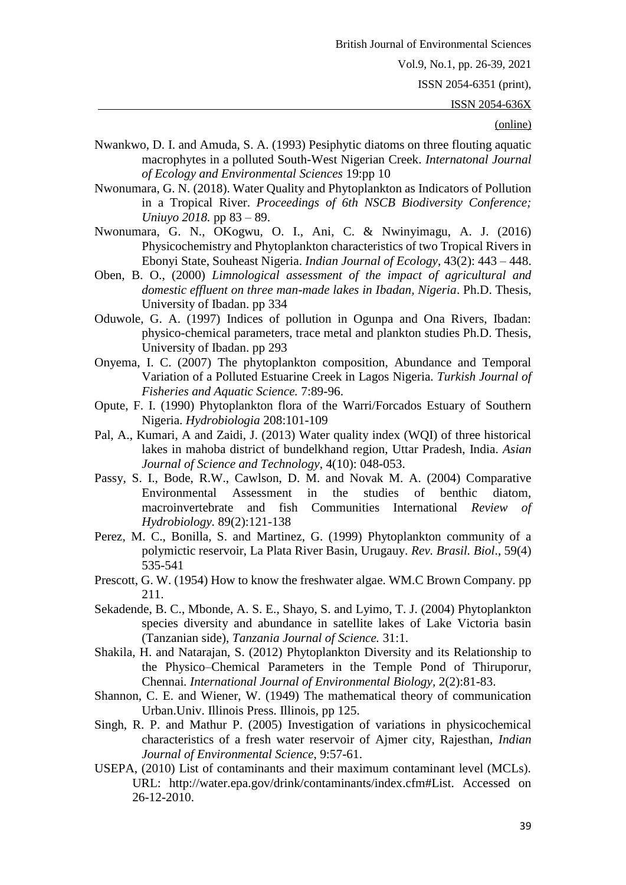ISSN 2054-6351 (print),

ISSN 2054-636X

- Nwankwo, D. I. and Amuda, S. A. (1993) Pesiphytic diatoms on three flouting aquatic macrophytes in a polluted South-West Nigerian Creek. *Internatonal Journal of Ecology and Environmental Sciences* 19:pp 10
- Nwonumara, G. N. (2018). Water Quality and Phytoplankton as Indicators of Pollution in a Tropical River. *Proceedings of 6th NSCB Biodiversity Conference; Uniuyo 2018.* pp 83 – 89.
- Nwonumara, G. N., OKogwu, O. I., Ani, C. & Nwinyimagu, A. J. (2016) Physicochemistry and Phytoplankton characteristics of two Tropical Rivers in Ebonyi State, Souheast Nigeria. *Indian Journal of Ecology*, 43(2): 443 – 448.
- Oben, B. O., (2000) *Limnological assessment of the impact of agricultural and domestic effluent on three man-made lakes in Ibadan, Nigeria*. Ph.D. Thesis, University of Ibadan. pp 334
- Oduwole, G. A. (1997) Indices of pollution in Ogunpa and Ona Rivers, Ibadan: physico-chemical parameters, trace metal and plankton studies Ph.D. Thesis, University of Ibadan. pp 293
- Onyema, I. C. (2007) The phytoplankton composition, Abundance and Temporal Variation of a Polluted Estuarine Creek in Lagos Nigeria. *Turkish Journal of Fisheries and Aquatic Science.* 7:89-96.
- Opute, F. I. (1990) Phytoplankton flora of the Warri/Forcados Estuary of Southern Nigeria. *Hydrobiologia* 208:101-109
- Pal, A., Kumari, A and Zaidi, J. (2013) Water quality index (WQI) of three historical lakes in mahoba district of bundelkhand region, Uttar Pradesh, India. *Asian Journal of Science and Technology*, 4(10): 048-053.
- Passy, S. I., Bode, R.W., Cawlson, D. M. and Novak M. A. (2004) Comparative Environmental Assessment in the studies of benthic diatom, macroinvertebrate and fish Communities International *Review of Hydrobiology.* 89(2):121-138
- Perez, M. C., Bonilla, S. and Martinez, G. (1999) Phytoplankton community of a polymictic reservoir, La Plata River Basin, Urugauy. *Rev. Brasil. Biol*., 59(4) 535-541
- Prescott, G. W. (1954) How to know the freshwater algae. WM.C Brown Company. pp 211.
- Sekadende, B. C., Mbonde, A. S. E., Shayo, S. and Lyimo, T. J. (2004) Phytoplankton species diversity and abundance in satellite lakes of Lake Victoria basin (Tanzanian side), *Tanzania Journal of Science.* 31:1.
- Shakila, H. and Natarajan, S. (2012) Phytoplankton Diversity and its Relationship to the Physico–Chemical Parameters in the Temple Pond of Thiruporur, Chennai*. International Journal of Environmental Biology,* 2(2):81-83.
- Shannon, C. E. and Wiener, W. (1949) The mathematical theory of communication Urban.Univ. Illinois Press. Illinois, pp 125.
- Singh, R. P. and Mathur P. (2005) Investigation of variations in physicochemical characteristics of a fresh water reservoir of Ajmer city, Rajesthan, *Indian Journal of Environmental Science*, 9:57-61.
- USEPA, (2010) List of contaminants and their maximum contaminant level (MCLs). URL: http://water.epa.gov/drink/contaminants/index.cfm#List. Accessed on 26-12-2010.